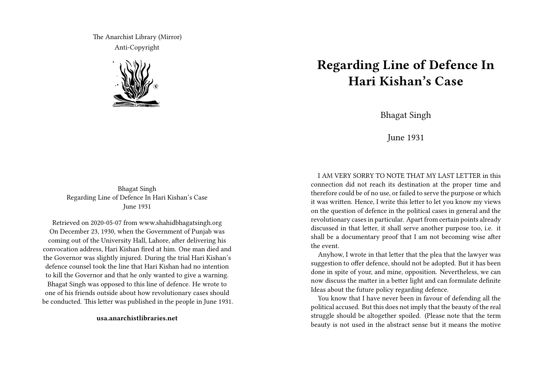The Anarchist Library (Mirror) Anti-Copyright



## **Regarding Line of Defence In Hari Kishan's Case**

Bhagat Singh

June 1931

Bhagat Singh Regarding Line of Defence In Hari Kishan's Case June 1931

Retrieved on 2020-05-07 from www.shahidbhagatsingh.org On December 23, 1930, when the Government of Punjab was coming out of the University Hall, Lahore, after delivering his convocation address, Hari Kishan fired at him. One man died and the Governor was slightly injured. During the trial Hari Kishan's defence counsel took the line that Hari Kishan had no intention to kill the Governor and that he only wanted to give a warning. Bhagat Singh was opposed to this line of defence. He wrote to one of his friends outside about how revolutionary cases should be conducted. This letter was published in the people in June 1931.

**usa.anarchistlibraries.net**

I AM VERY SORRY TO NOTE THAT MY LAST LETTER in this connection did not reach its destination at the proper time and therefore could be of no use, or failed to serve the purpose or which it was written. Hence, I write this letter to let you know my views on the question of defence in the political cases in general and the revolutionary cases in particular. Apart from certain points already discussed in that letter, it shall serve another purpose too, i.e. it shall be a documentary proof that I am not becoming wise after the event.

Anyhow, I wrote in that letter that the plea that the lawyer was suggestion to offer defence, should not be adopted. But it has been done in spite of your, and mine, opposition. Nevertheless, we can now discuss the matter in a better light and can formulate definite Ideas about the future policy regarding defence.

You know that I have never been in favour of defending all the political accused. But this does not imply that the beauty of the real struggle should be altogether spoiled. (Please note that the term beauty is not used in the abstract sense but it means the motive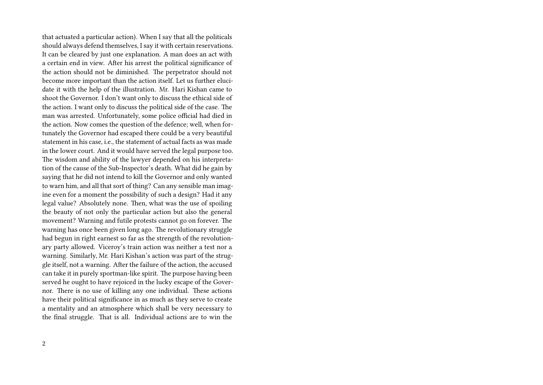that actuated a particular action). When I say that all the politicals should always defend themselves, I say it with certain reservations. It can be cleared by just one explanation. A man does an act with a certain end in view. After his arrest the political significance of the action should not be diminished. The perpetrator should not become more important than the action itself. Let us further elucidate it with the help of the illustration. Mr. Hari Kishan came to shoot the Governor. I don't want only to discuss the ethical side of the action. I want only to discuss the political side of the case. The man was arrested. Unfortunately, some police official had died in the action. Now comes the question of the defence; well, when fortunately the Governor had escaped there could be a very beautiful statement in his case, i.e., the statement of actual facts as was made in the lower court. And it would have served the legal purpose too. The wisdom and ability of the lawyer depended on his interpretation of the cause of the Sub-Inspector's death. What did he gain by saying that he did not intend to kill the Governor and only wanted to warn him, and all that sort of thing? Can any sensible man imagine even for a moment the possibility of such a design? Had it any legal value? Absolutely none. Then, what was the use of spoiling the beauty of not only the particular action but also the general movement? Warning and futile protests cannot go on forever. The warning has once been given long ago. The revolutionary struggle had begun in right earnest so far as the strength of the revolutionary party allowed. Viceroy's train action was neither a test nor a warning. Similarly, Mr. Hari Kishan's action was part of the struggle itself, not a warning. After the failure of the action, the accused can take it in purely sportman-like spirit. The purpose having been served he ought to have rejoiced in the lucky escape of the Governor. There is no use of killing any one individual. These actions have their political significance in as much as they serve to create a mentality and an atmosphere which shall be very necessary to the final struggle. That is all. Individual actions are to win the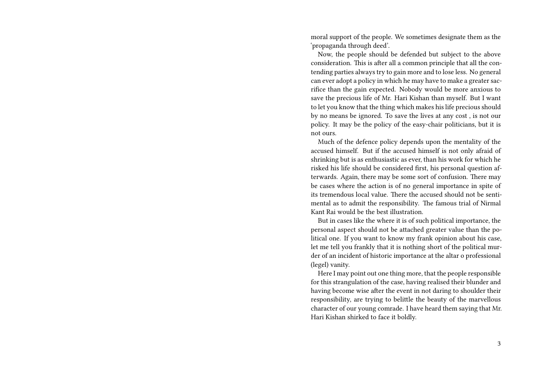moral support of the people. We sometimes designate them as the 'propaganda through deed'.

Now, the people should be defended but subject to the above consideration. This is after all a common principle that all the contending parties always try to gain more and to lose less. No general can ever adopt a policy in which he may have to make a greater sacrifice than the gain expected. Nobody would be more anxious to save the precious life of Mr. Hari Kishan than myself. But I want to let you know that the thing which makes his life precious should by no means be ignored. To save the lives at any cost , is not our policy. It may be the policy of the easy-chair politicians, but it is not ours.

Much of the defence policy depends upon the mentality of the accused himself. But if the accused himself is not only afraid of shrinking but is as enthusiastic as ever, than his work for which he risked his life should be considered first, his personal question afterwards. Again, there may be some sort of confusion. There may be cases where the action is of no general importance in spite of its tremendous local value. There the accused should not be sentimental as to admit the responsibility. The famous trial of Nirmal Kant Rai would be the best illustration.

But in cases like the where it is of such political importance, the personal aspect should not be attached greater value than the political one. If you want to know my frank opinion about his case, let me tell you frankly that it is nothing short of the political murder of an incident of historic importance at the altar o professional (legel) vanity.

Here I may point out one thing more, that the people responsible for this strangulation of the case, having realised their blunder and having become wise after the event in not daring to shoulder their responsibility, are trying to belittle the beauty of the marvellous character of our young comrade. I have heard them saying that Mr. Hari Kishan shirked to face it boldly.